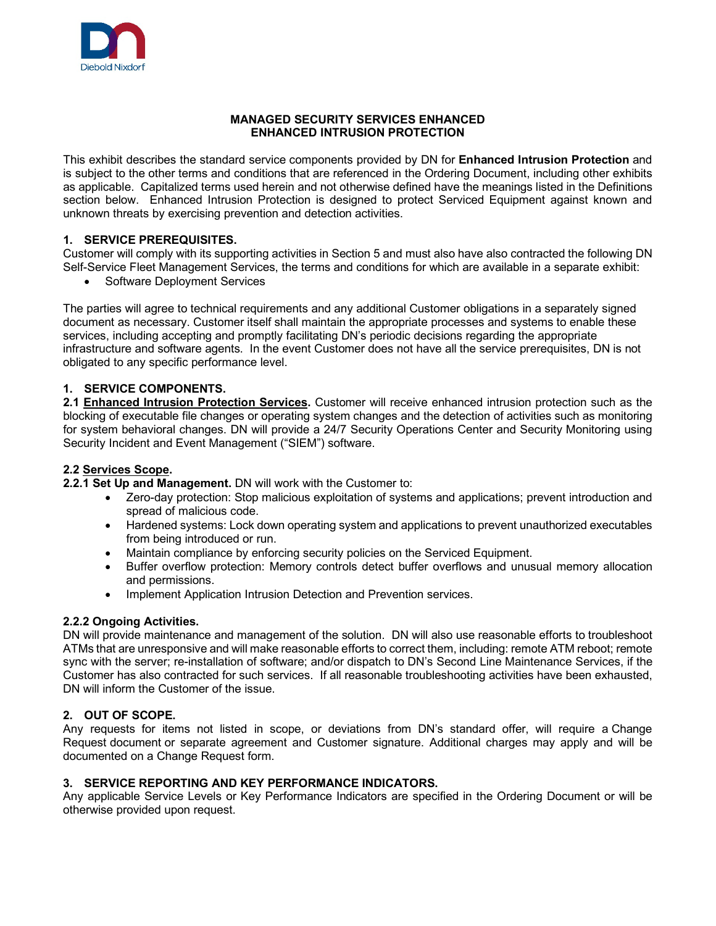

#### **MANAGED SECURITY SERVICES ENHANCED ENHANCED INTRUSION PROTECTION**

This exhibit describes the standard service components provided by DN for **Enhanced Intrusion Protection** and is subject to the other terms and conditions that are referenced in the Ordering Document, including other exhibits as applicable. Capitalized terms used herein and not otherwise defined have the meanings listed in the Definitions section below. Enhanced Intrusion Protection is designed to protect Serviced Equipment against known and unknown threats by exercising prevention and detection activities.

# **1. SERVICE PREREQUISITES.**

Customer will comply with its supporting activities in Section 5 and must also have also contracted the following DN Self-Service Fleet Management Services, the terms and conditions for which are available in a separate exhibit:

Software Deployment Services

The parties will agree to technical requirements and any additional Customer obligations in a separately signed document as necessary. Customer itself shall maintain the appropriate processes and systems to enable these services, including accepting and promptly facilitating DN's periodic decisions regarding the appropriate infrastructure and software agents. In the event Customer does not have all the service prerequisites, DN is not obligated to any specific performance level.

# **1. SERVICE COMPONENTS.**

**2.1 Enhanced Intrusion Protection Services.** Customer will receive enhanced intrusion protection such as the blocking of executable file changes or operating system changes and the detection of activities such as monitoring for system behavioral changes. DN will provide a 24/7 Security Operations Center and Security Monitoring using Security Incident and Event Management ("SIEM") software.

## **2.2 Services Scope.**

**2.2.1 Set Up and Management.** DN will work with the Customer to:

- Zero-day protection: Stop malicious exploitation of systems and applications; prevent introduction and spread of malicious code.
- Hardened systems: Lock down operating system and applications to prevent unauthorized executables from being introduced or run.
- Maintain compliance by enforcing security policies on the Serviced Equipment.
- Buffer overflow protection: Memory controls detect buffer overflows and unusual memory allocation and permissions.
- Implement Application Intrusion Detection and Prevention services.

### **2.2.2 Ongoing Activities.**

DN will provide maintenance and management of the solution. DN will also use reasonable efforts to troubleshoot ATMs that are unresponsive and will make reasonable efforts to correct them, including: remote ATM reboot; remote sync with the server; re-installation of software; and/or dispatch to DN's Second Line Maintenance Services, if the Customer has also contracted for such services. If all reasonable troubleshooting activities have been exhausted, DN will inform the Customer of the issue.

### **2. OUT OF SCOPE.**

Any requests for items not listed in scope, or deviations from DN's standard offer, will require a Change Request document or separate agreement and Customer signature. Additional charges may apply and will be documented on a Change Request form.

### **3. SERVICE REPORTING AND KEY PERFORMANCE INDICATORS.**

Any applicable Service Levels or Key Performance Indicators are specified in the Ordering Document or will be otherwise provided upon request.